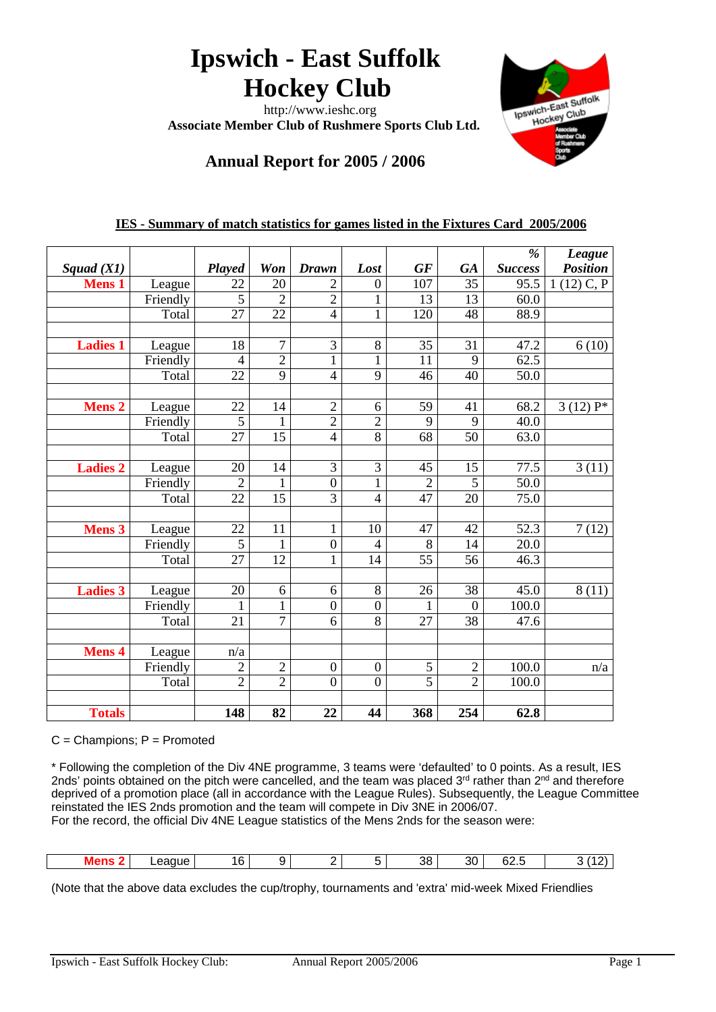# **Ipswich - East Suffolk Hockey Club**

 http://www.ieshc.org  **Associate Member Club of Rushmere Sports Club Ltd.**



# **Annual Report for 2005 / 2006**

|                 |          |                 |                 |                  |                  |                |                | $\frac{9}{6}$  | <b>League</b>   |
|-----------------|----------|-----------------|-----------------|------------------|------------------|----------------|----------------|----------------|-----------------|
| Squad $(X1)$    |          | Played          | Won             | <b>Drawn</b>     | Lost             | GF             | <b>GA</b>      | <b>Success</b> | <b>Position</b> |
| <b>Mens 1</b>   | League   | 22              | 20              | 2                | $\boldsymbol{0}$ | 107            | 35             | 95.5           | $1(12)$ C, P    |
|                 | Friendly | 5               | $\overline{2}$  | $\overline{2}$   | $\mathbf{1}$     | 13             | 13             | 60.0           |                 |
|                 | Total    | $\overline{27}$ | $\overline{22}$ | $\overline{4}$   | $\mathbf{1}$     | 120            | 48             | 88.9           |                 |
|                 |          |                 |                 |                  |                  |                |                |                |                 |
| <b>Ladies 1</b> | League   | 18              | $\tau$          | 3                | 8                | 35             | 31             | 47.2           | 6(10)           |
|                 | Friendly | $\overline{4}$  | $\overline{2}$  | $\mathbf{1}$     | $\mathbf{1}$     | 11             | 9              | 62.5           |                 |
|                 | Total    | 22              | $\overline{9}$  | $\overline{4}$   | 9                | 46             | 40             | 50.0           |                 |
|                 |          |                 |                 |                  |                  |                |                |                |                 |
| <b>Mens 2</b>   | League   | 22              | 14              | $\overline{2}$   | 6                | 59             | 41             | 68.2           | $3(12)P*$       |
|                 | Friendly | 5               | 1               | $\overline{2}$   | $\overline{2}$   | 9              | 9              | 40.0           |                 |
|                 | Total    | 27              | 15              | $\overline{4}$   | 8                | 68             | 50             | 63.0           |                 |
|                 |          |                 |                 |                  |                  |                |                |                |                 |
| <b>Ladies 2</b> | League   | 20              | 14              | 3                | 3                | 45             | 15             | 77.5           | 3(11)           |
|                 | Friendly | $\overline{2}$  | 1               | $\boldsymbol{0}$ | $\mathbf{1}$     | $\overline{c}$ | 5              | 50.0           |                 |
|                 | Total    | 22              | 15              | 3                | $\overline{4}$   | 47             | 20             | 75.0           |                 |
|                 |          |                 |                 |                  |                  |                |                |                |                 |
| <b>Mens 3</b>   | League   | 22              | 11              | $\mathbf{1}$     | 10               | 47             | 42             | 52.3           | 7(12)           |
|                 | Friendly | $\overline{5}$  | $\mathbf{1}$    | $\boldsymbol{0}$ | 4                | 8              | 14             | 20.0           |                 |
|                 | Total    | 27              | 12              | $\mathbf{1}$     | 14               | 55             | 56             | 46.3           |                 |
|                 |          |                 |                 |                  |                  |                |                |                |                 |
| <b>Ladies 3</b> | League   | 20              | 6               | 6                | 8                | 26             | 38             | 45.0           | 8(11)           |
|                 | Friendly | $\mathbf{1}$    | $\mathbf{1}$    | $\overline{0}$   | $\overline{0}$   | 1              | $\overline{0}$ | 100.0          |                 |
|                 | Total    | 21              | $\tau$          | 6                | 8                | 27             | 38             | 47.6           |                 |
|                 |          |                 |                 |                  |                  |                |                |                |                 |
| <b>Mens 4</b>   | League   | n/a             |                 |                  |                  |                |                |                |                 |
|                 | Friendly | $\overline{2}$  | $\overline{2}$  | $\boldsymbol{0}$ | $\boldsymbol{0}$ | $\sqrt{5}$     | $\mathbf{2}$   | 100.0          | n/a             |
|                 | Total    | $\overline{2}$  | $\overline{2}$  | $\overline{0}$   | $\overline{0}$   | 5              | $\overline{2}$ | 100.0          |                 |
|                 |          |                 |                 |                  |                  |                |                |                |                 |
| <b>Totals</b>   |          | 148             | 82              | 22               | 44               | 368            | 254            | 62.8           |                 |

# **IES - Summary of match statistics for games listed in the Fixtures Card 2005/2006**

 $C =$ Champions;  $P =$  Promoted

\* Following the completion of the Div 4NE programme, 3 teams were 'defaulted' to 0 points. As a result, IES 2nds' points obtained on the pitch were cancelled, and the team was placed 3<sup>rd</sup> rather than 2<sup>nd</sup> and therefore deprived of a promotion place (all in accordance with the League Rules). Subsequently, the League Committee reinstated the IES 2nds promotion and the team will compete in Div 3NE in 2006/07. For the record, the official Div 4NE League statistics of the Mens 2nds for the season were:

| aue.<br>--- | ים ו | . . | 38 | ົ<br>υv | $\sim$<br>5.<br>uz.c | -<br> |
|-------------|------|-----|----|---------|----------------------|-------|

(Note that the above data excludes the cup/trophy, tournaments and 'extra' mid-week Mixed Friendlies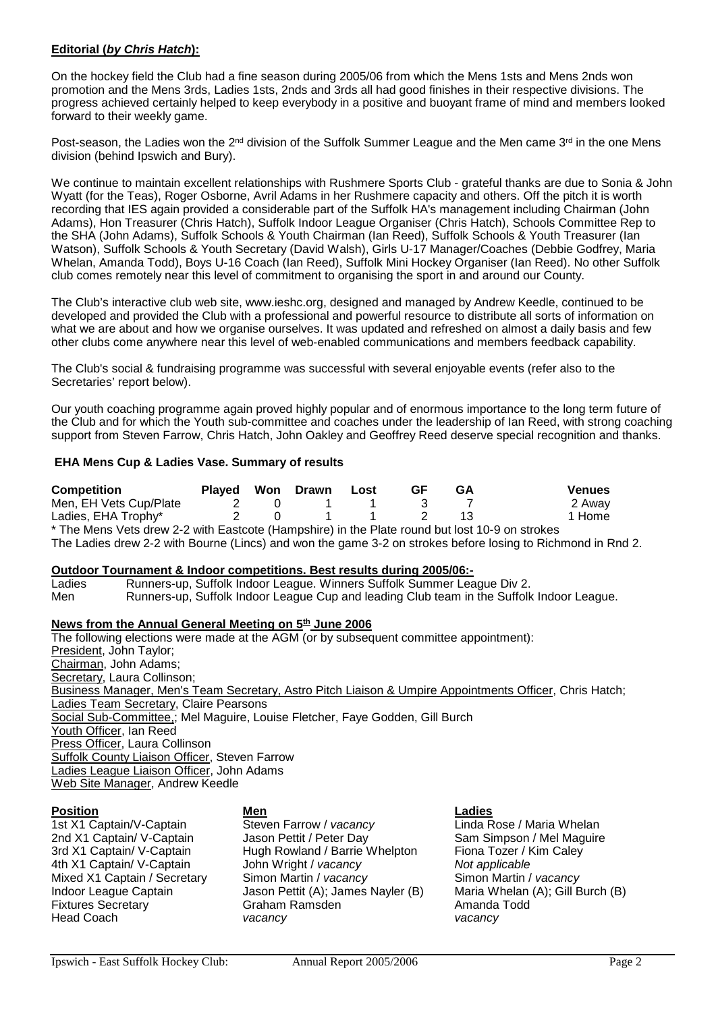#### **Editorial (***by Chris Hatch***):**

On the hockey field the Club had a fine season during 2005/06 from which the Mens 1sts and Mens 2nds won promotion and the Mens 3rds, Ladies 1sts, 2nds and 3rds all had good finishes in their respective divisions. The progress achieved certainly helped to keep everybody in a positive and buoyant frame of mind and members looked forward to their weekly game.

Post-season, the Ladies won the 2<sup>nd</sup> division of the Suffolk Summer League and the Men came 3<sup>rd</sup> in the one Mens division (behind Ipswich and Bury).

We continue to maintain excellent relationships with Rushmere Sports Club - grateful thanks are due to Sonia & John Wyatt (for the Teas), Roger Osborne, Avril Adams in her Rushmere capacity and others. Off the pitch it is worth recording that IES again provided a considerable part of the Suffolk HA's management including Chairman (John Adams), Hon Treasurer (Chris Hatch), Suffolk Indoor League Organiser (Chris Hatch), Schools Committee Rep to the SHA (John Adams), Suffolk Schools & Youth Chairman (Ian Reed), Suffolk Schools & Youth Treasurer (Ian Watson), Suffolk Schools & Youth Secretary (David Walsh), Girls U-17 Manager/Coaches (Debbie Godfrey, Maria Whelan, Amanda Todd), Boys U-16 Coach (Ian Reed), Suffolk Mini Hockey Organiser (Ian Reed). No other Suffolk club comes remotely near this level of commitment to organising the sport in and around our County.

The Club's interactive club web site, www.ieshc.org, designed and managed by Andrew Keedle, continued to be developed and provided the Club with a professional and powerful resource to distribute all sorts of information on what we are about and how we organise ourselves. It was updated and refreshed on almost a daily basis and few other clubs come anywhere near this level of web-enabled communications and members feedback capability.

The Club's social & fundraising programme was successful with several enjoyable events (refer also to the Secretaries' report below).

Our youth coaching programme again proved highly popular and of enormous importance to the long term future of the Club and for which the Youth sub-committee and coaches under the leadership of Ian Reed, with strong coaching support from Steven Farrow, Chris Hatch, John Oakley and Geoffrey Reed deserve special recognition and thanks.

#### **EHA Mens Cup & Ladies Vase. Summary of results**

| <b>Competition</b>                                                                             | Played Won Drawn |          | Lost | GF | GA | <b>Venues</b> |
|------------------------------------------------------------------------------------------------|------------------|----------|------|----|----|---------------|
| Men, EH Vets Cup/Plate                                                                         |                  | $\Omega$ |      |    |    | 2 Away        |
| Ladies, EHA Trophy*                                                                            |                  | $\Omega$ |      |    |    | 1 Home        |
| * The Mens Vets drow 2-2 with Easteste (Hampshire) in the Dlate round but lost 10-0 on strokes |                  |          |      |    |    |               |

The Mens Vets drew 2-2 with Eastcote (Hampshire) in the Plate round but lost 10-9 on strokes The Ladies drew 2-2 with Bourne (Lincs) and won the game 3-2 on strokes before losing to Richmond in Rnd 2.

#### **Outdoor Tournament & Indoor competitions. Best results during 2005/06:-**

Ladies Runners-up, Suffolk Indoor League. Winners Suffolk Summer League Div 2. Men Runners-up, Suffolk Indoor League Cup and leading Club team in the Suffolk Indoor League.

#### News from the Annual General Meeting on 5<sup>th</sup> June 2006

The following elections were made at the AGM (or by subsequent committee appointment): President, John Taylor; Chairman, John Adams; Secretary, Laura Collinson; Business Manager, Men's Team Secretary, Astro Pitch Liaison & Umpire Appointments Officer, Chris Hatch; Ladies Team Secretary, Claire Pearsons Social Sub-Committee,; Mel Maguire, Louise Fletcher, Faye Godden, Gill Burch Youth Officer, Ian Reed Press Officer, Laura Collinson **Suffolk County Liaison Officer, Steven Farrow** Ladies League Liaison Officer, John Adams Web Site Manager, Andrew Keedle

#### **Position Men Ladies**

**Head Coach** 

1st X1 Captain/V-Captain **Steven Farrow /** *vacancy* **Communist Contain** Captain/V-Captain Steven Farrow / *vacancy* Communist Captain 2nd X1 Captain / V-Captain Jason Pettit / Peter Day 2nd X1 Captain/ V-Captain Jason Pettit / Peter Day Sam Simpson / Mel Mag<br>3rd X1 Captain/ V-Captain Hugh Rowland / Barrie Whelpton Fiona Tozer / Kim Caley 4 'Hugh Rowland / Barrie Whelpton Fiona Tozer / K<br>John Wright / vacancy Fional Rot applicable 4th X1 Captain/ V-Captain John Wright / *vacancy Not applicable* Mixed X1 Captain / Secretary Simon Martin / *vacancy* Indoor League Captain **State Canada Jacket Captain** Jason Pettit (A); James Nayler (B) Indoor League Captain Jason Pettit (A); James Nayler (B) Maria Whelan (A); Gill Burch (B)<br>Fixtures Secretary **Graham Ramsden** Mamanda Todd Fixtures Secretary Craham Ramsden<br>
Fixtures Secretary Amanda<br>
Today Amanda Todday Amanda Todday Amanda Todday Amanda Todday Amanda Todday Amanda Todday Amanda Todday Amanda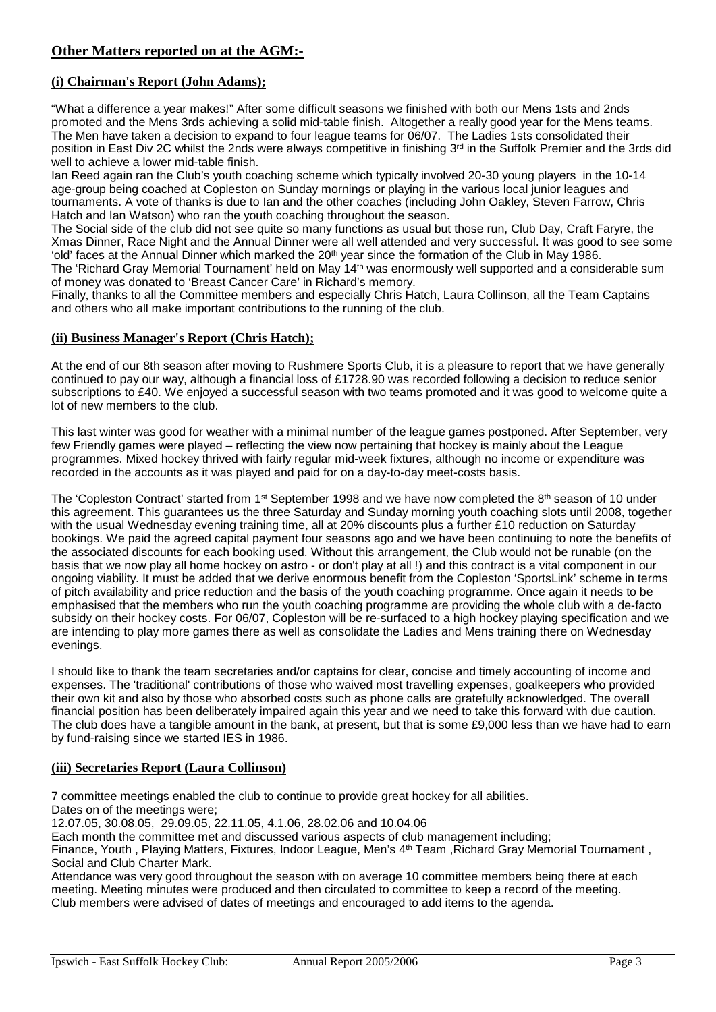# **Other Matters reported on at the AGM:-**

# **(i) Chairman's Report (John Adams);**

"What a difference a year makes!" After some difficult seasons we finished with both our Mens 1sts and 2nds promoted and the Mens 3rds achieving a solid mid-table finish. Altogether a really good year for the Mens teams. The Men have taken a decision to expand to four league teams for 06/07. The Ladies 1sts consolidated their position in East Div 2C whilst the 2nds were always competitive in finishing 3<sup>rd</sup> in the Suffolk Premier and the 3rds did well to achieve a lower mid-table finish.

Ian Reed again ran the Club's youth coaching scheme which typically involved 20-30 young players in the 10-14 age-group being coached at Copleston on Sunday mornings or playing in the various local junior leagues and tournaments. A vote of thanks is due to Ian and the other coaches (including John Oakley, Steven Farrow, Chris Hatch and Ian Watson) who ran the youth coaching throughout the season.

The Social side of the club did not see quite so many functions as usual but those run, Club Day, Craft Faryre, the Xmas Dinner, Race Night and the Annual Dinner were all well attended and very successful. It was good to see some 'old' faces at the Annual Dinner which marked the 20<sup>th</sup> year since the formation of the Club in May 1986. The 'Richard Gray Memorial Tournament' held on May 14th was enormously well supported and a considerable sum of money was donated to 'Breast Cancer Care' in Richard's memory.

Finally, thanks to all the Committee members and especially Chris Hatch, Laura Collinson, all the Team Captains and others who all make important contributions to the running of the club.

#### **(ii) Business Manager's Report (Chris Hatch);**

At the end of our 8th season after moving to Rushmere Sports Club, it is a pleasure to report that we have generally continued to pay our way, although a financial loss of £1728.90 was recorded following a decision to reduce senior subscriptions to £40. We enjoyed a successful season with two teams promoted and it was good to welcome quite a lot of new members to the club.

This last winter was good for weather with a minimal number of the league games postponed. After September, very few Friendly games were played – reflecting the view now pertaining that hockey is mainly about the League programmes. Mixed hockey thrived with fairly regular mid-week fixtures, although no income or expenditure was recorded in the accounts as it was played and paid for on a day-to-day meet-costs basis.

The 'Copleston Contract' started from 1<sup>st</sup> September 1998 and we have now completed the  $8<sup>th</sup>$  season of 10 under this agreement. This guarantees us the three Saturday and Sunday morning youth coaching slots until 2008, together with the usual Wednesday evening training time, all at 20% discounts plus a further £10 reduction on Saturday bookings. We paid the agreed capital payment four seasons ago and we have been continuing to note the benefits of the associated discounts for each booking used. Without this arrangement, the Club would not be runable (on the basis that we now play all home hockey on astro - or don't play at all !) and this contract is a vital component in our ongoing viability. It must be added that we derive enormous benefit from the Copleston 'SportsLink' scheme in terms of pitch availability and price reduction and the basis of the youth coaching programme. Once again it needs to be emphasised that the members who run the youth coaching programme are providing the whole club with a de-facto subsidy on their hockey costs. For 06/07, Copleston will be re-surfaced to a high hockey playing specification and we are intending to play more games there as well as consolidate the Ladies and Mens training there on Wednesday evenings.

I should like to thank the team secretaries and/or captains for clear, concise and timely accounting of income and expenses. The 'traditional' contributions of those who waived most travelling expenses, goalkeepers who provided their own kit and also by those who absorbed costs such as phone calls are gratefully acknowledged. The overall financial position has been deliberately impaired again this year and we need to take this forward with due caution. The club does have a tangible amount in the bank, at present, but that is some £9,000 less than we have had to earn by fund-raising since we started IES in 1986.

#### **(iii) Secretaries Report (Laura Collinson)**

7 committee meetings enabled the club to continue to provide great hockey for all abilities.

Dates on of the meetings were;

12.07.05, 30.08.05, 29.09.05, 22.11.05, 4.1.06, 28.02.06 and 10.04.06

Each month the committee met and discussed various aspects of club management including;

Finance, Youth , Playing Matters, Fixtures, Indoor League, Men's 4<sup>th</sup> Team , Richard Gray Memorial Tournament , Social and Club Charter Mark.

Attendance was very good throughout the season with on average 10 committee members being there at each meeting. Meeting minutes were produced and then circulated to committee to keep a record of the meeting. Club members were advised of dates of meetings and encouraged to add items to the agenda.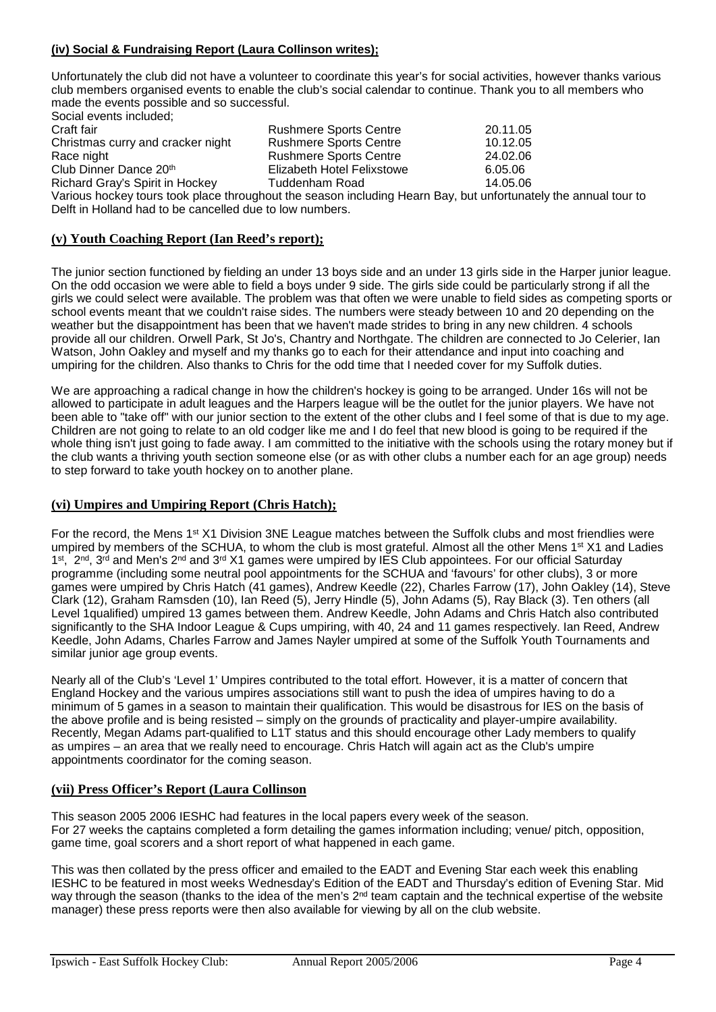# **(iv) Social & Fundraising Report (Laura Collinson writes);**

Unfortunately the club did not have a volunteer to coordinate this year's for social activities, however thanks various club members organised events to enable the club's social calendar to continue. Thank you to all members who made the events possible and so successful.

Social events included;<br>Craft fair Rushmere Sports Centre 20.11.05<br>Rushmere Sports Centre 10.12.05 Christmas curry and cracker night Rushmere Sports Centre 10.12.05<br>Race night Rushmere Sports Centre 24.02.06 Race night **Rushmere Sports Centre** 24.02.06<br>Club Dinner Dance 20<sup>th</sup> Elizabeth Hotel Felixstowe 6.05.06 Elizabeth Hotel Felixstowe **6.05.06**<br>Tuddenham Road 6.05.06 Richard Gray's Spirit in Hockey Various hockey tours took place throughout the season including Hearn Bay, but unfortunately the annual tour to Delft in Holland had to be cancelled due to low numbers.

# **(v) Youth Coaching Report (Ian Reed's report);**

The junior section functioned by fielding an under 13 boys side and an under 13 girls side in the Harper junior league. On the odd occasion we were able to field a boys under 9 side. The girls side could be particularly strong if all the girls we could select were available. The problem was that often we were unable to field sides as competing sports or school events meant that we couldn't raise sides. The numbers were steady between 10 and 20 depending on the weather but the disappointment has been that we haven't made strides to bring in any new children. 4 schools provide all our children. Orwell Park, St Jo's, Chantry and Northgate. The children are connected to Jo Celerier, Ian Watson, John Oakley and myself and my thanks go to each for their attendance and input into coaching and umpiring for the children. Also thanks to Chris for the odd time that I needed cover for my Suffolk duties.

We are approaching a radical change in how the children's hockey is going to be arranged. Under 16s will not be allowed to participate in adult leagues and the Harpers league will be the outlet for the junior players. We have not been able to "take off" with our junior section to the extent of the other clubs and I feel some of that is due to my age. Children are not going to relate to an old codger like me and I do feel that new blood is going to be required if the whole thing isn't just going to fade away. I am committed to the initiative with the schools using the rotary money but if the club wants a thriving youth section someone else (or as with other clubs a number each for an age group) needs to step forward to take youth hockey on to another plane.

#### **(vi) Umpires and Umpiring Report (Chris Hatch);**

For the record, the Mens 1<sup>st</sup> X1 Division 3NE League matches between the Suffolk clubs and most friendlies were umpired by members of the SCHUA, to whom the club is most grateful. Almost all the other Mens 1<sup>st</sup> X1 and Ladies 1<sup>st</sup>, 2<sup>nd</sup>, 3<sup>rd</sup> and Men's 2<sup>nd</sup> and 3<sup>rd</sup> X1 games were umpired by IES Club appointees. For our official Saturday programme (including some neutral pool appointments for the SCHUA and 'favours' for other clubs), 3 or more games were umpired by Chris Hatch (41 games), Andrew Keedle (22), Charles Farrow (17), John Oakley (14), Steve Clark (12), Graham Ramsden (10), Ian Reed (5), Jerry Hindle (5), John Adams (5), Ray Black (3). Ten others (all Level 1qualified) umpired 13 games between them. Andrew Keedle, John Adams and Chris Hatch also contributed significantly to the SHA Indoor League & Cups umpiring, with 40, 24 and 11 games respectively. Ian Reed, Andrew Keedle, John Adams, Charles Farrow and James Nayler umpired at some of the Suffolk Youth Tournaments and similar junior age group events.

Nearly all of the Club's 'Level 1' Umpires contributed to the total effort. However, it is a matter of concern that England Hockey and the various umpires associations still want to push the idea of umpires having to do a minimum of 5 games in a season to maintain their qualification. This would be disastrous for IES on the basis of the above profile and is being resisted – simply on the grounds of practicality and player-umpire availability. Recently, Megan Adams part-qualified to L1T status and this should encourage other Lady members to qualify as umpires – an area that we really need to encourage. Chris Hatch will again act as the Club's umpire appointments coordinator for the coming season.

#### **(vii) Press Officer's Report (Laura Collinson**

This season 2005 2006 IESHC had features in the local papers every week of the season. For 27 weeks the captains completed a form detailing the games information including; venue/ pitch, opposition, game time, goal scorers and a short report of what happened in each game.

This was then collated by the press officer and emailed to the EADT and Evening Star each week this enabling IESHC to be featured in most weeks Wednesday's Edition of the EADT and Thursday's edition of Evening Star. Mid way through the season (thanks to the idea of the men's 2<sup>nd</sup> team captain and the technical expertise of the website manager) these press reports were then also available for viewing by all on the club website.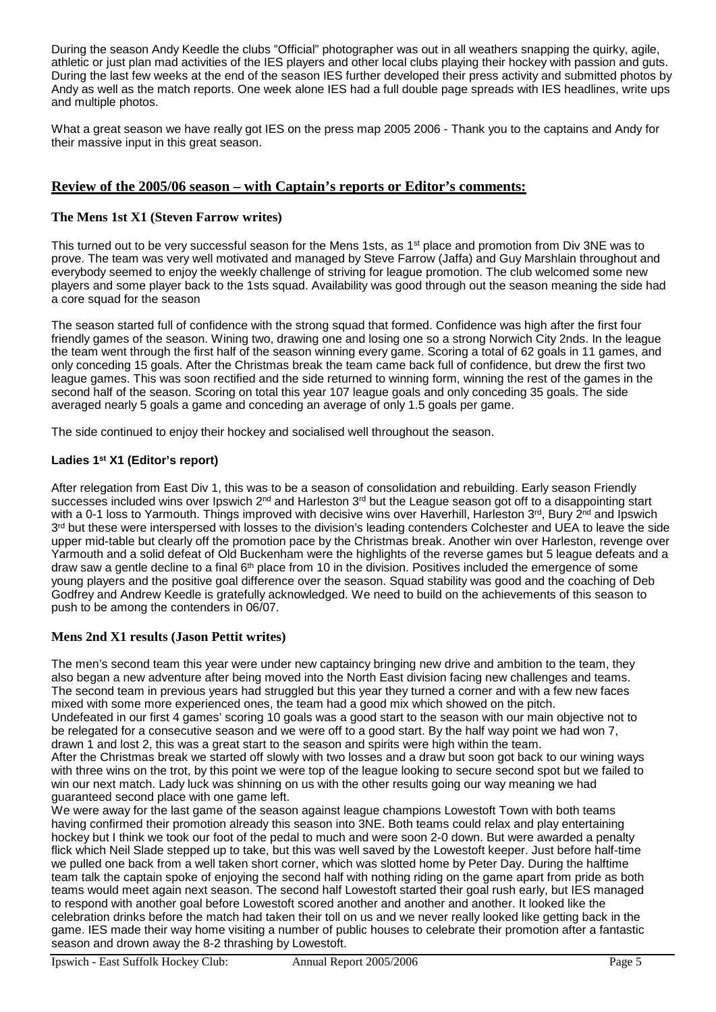During the season Andy Keedle the clubs "Official" photographer was out in all weathers snapping the quirky, agile, athletic or just plan mad activities of the IES players and other local clubs playing their hockey with passion and guts. During the last few weeks at the end of the season IES further developed their press activity and submitted photos by Andy as well as the match reports. One week alone IES had a full double page spreads with IES headlines, write ups and multiple photos.

What a great season we have really got IES on the press map 2005 2006 - Thank you to the captains and Andy for their massive input in this great season.

# **Review of the 2005/06 season – with Captain's reports or Editor's comments:**

### **The Mens 1st X1 (Steven Farrow writes)**

This turned out to be very successful season for the Mens 1sts, as 1st place and promotion from Div 3NE was to prove. The team was very well motivated and managed by Steve Farrow (Jaffa) and Guy Marshlain throughout and everybody seemed to enjoy the weekly challenge of striving for league promotion. The club welcomed some new players and some player back to the 1sts squad. Availability was good through out the season meaning the side had a core squad for the season

The season started full of confidence with the strong squad that formed. Confidence was high after the first four friendly games of the season. Wining two, drawing one and losing one so a strong Norwich City 2nds. In the league the team went through the first half of the season winning every game. Scoring a total of 62 goals in 11 games, and only conceding 15 goals. After the Christmas break the team came back full of confidence, but drew the first two league games. This was soon rectified and the side returned to winning form, winning the rest of the games in the second half of the season. Scoring on total this year 107 league goals and only conceding 35 goals. The side averaged nearly 5 goals a game and conceding an average of only 1.5 goals per game.

The side continued to enjoy their hockey and socialised well throughout the season.

#### **Ladies 1st X1 (Editor's report)**

After relegation from East Div 1, this was to be a season of consolidation and rebuilding. Early season Friendly successes included wins over Ipswich 2<sup>nd</sup> and Harleston 3<sup>rd</sup> but the League season got off to a disappointing start with a 0-1 loss to Yarmouth. Things improved with decisive wins over Haverhill, Harleston 3<sup>rd</sup>, Bury 2<sup>nd</sup> and Ipswich 3<sup>rd</sup> but these were interspersed with losses to the division's leading contenders Colchester and UEA to leave the side upper mid-table but clearly off the promotion pace by the Christmas break. Another win over Harleston, revenge over Yarmouth and a solid defeat of Old Buckenham were the highlights of the reverse games but 5 league defeats and a draw saw a gentle decline to a final 6<sup>th</sup> place from 10 in the division. Positives included the emergence of some young players and the positive goal difference over the season. Squad stability was good and the coaching of Deb Godfrey and Andrew Keedle is gratefully acknowledged. We need to build on the achievements of this season to push to be among the contenders in 06/07.

#### **Mens 2nd X1 results (Jason Pettit writes)**

The men's second team this year were under new captaincy bringing new drive and ambition to the team, they also began a new adventure after being moved into the North East division facing new challenges and teams. The second team in previous years had struggled but this year they turned a corner and with a few new faces mixed with some more experienced ones, the team had a good mix which showed on the pitch. Undefeated in our first 4 games' scoring 10 goals was a good start to the season with our main objective not to be relegated for a consecutive season and we were off to a good start. By the half way point we had won 7, drawn  $\overline{1}$  and lost 2, this was a great start to the season and spirits were high within the team.

After the Christmas break we started off slowly with two losses and a draw but soon got back to our wining ways with three wins on the trot, by this point we were top of the league looking to secure second spot but we failed to win our next match. Lady luck was shinning on us with the other results going our way meaning we had guaranteed second place with one game left.

We were away for the last game of the season against league champions Lowestoft Town with both teams having confirmed their promotion already this season into 3NE. Both teams could relax and play entertaining hockey but I think we took our foot of the pedal to much and were soon 2-0 down. But were awarded a penalty flick which Neil Slade stepped up to take, but this was well saved by the Lowestoft keeper. Just before half-time we pulled one back from a well taken short corner, which was slotted home by Peter Day. During the halftime team talk the captain spoke of enjoying the second half with nothing riding on the game apart from pride as both teams would meet again next season. The second half Lowestoft started their goal rush early, but IES managed to respond with another goal before Lowestoft scored another and another and another. It looked like the celebration drinks before the match had taken their toll on us and we never really looked like getting back in the game. IES made their way home visiting a number of public houses to celebrate their promotion after a fantastic season and drown away the 8-2 thrashing by Lowestoft.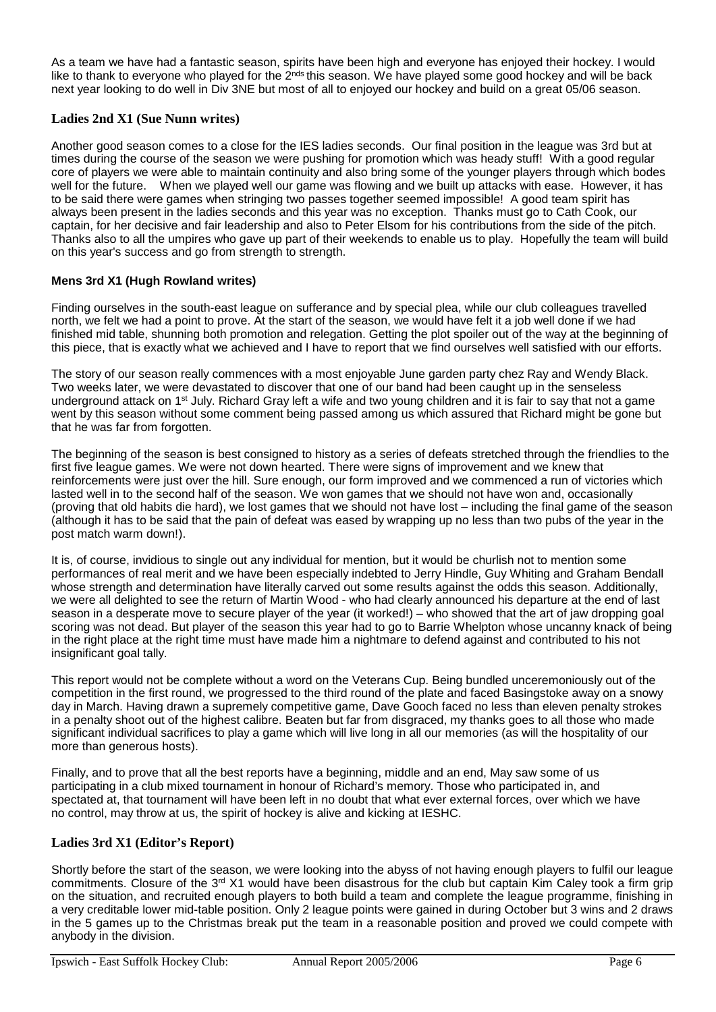As a team we have had a fantastic season, spirits have been high and everyone has enjoyed their hockey. I would like to thank to everyone who played for the 2<sup>nds</sup> this season. We have played some good hockey and will be back next year looking to do well in Div 3NE but most of all to enjoyed our hockey and build on a great 05/06 season.

# **Ladies 2nd X1 (Sue Nunn writes)**

Another good season comes to a close for the IES ladies seconds. Our final position in the league was 3rd but at times during the course of the season we were pushing for promotion which was heady stuff! With a good regular core of players we were able to maintain continuity and also bring some of the younger players through which bodes well for the future. When we played well our game was flowing and we built up attacks with ease. However, it has to be said there were games when stringing two passes together seemed impossible! A good team spirit has always been present in the ladies seconds and this year was no exception. Thanks must go to Cath Cook, our captain, for her decisive and fair leadership and also to Peter Elsom for his contributions from the side of the pitch. Thanks also to all the umpires who gave up part of their weekends to enable us to play. Hopefully the team will build on this year's success and go from strength to strength.

# **Mens 3rd X1 (Hugh Rowland writes)**

Finding ourselves in the south-east league on sufferance and by special plea, while our club colleagues travelled north, we felt we had a point to prove. At the start of the season, we would have felt it a job well done if we had finished mid table, shunning both promotion and relegation. Getting the plot spoiler out of the way at the beginning of this piece, that is exactly what we achieved and I have to report that we find ourselves well satisfied with our efforts.

The story of our season really commences with a most enjoyable June garden party chez Ray and Wendy Black. Two weeks later, we were devastated to discover that one of our band had been caught up in the senseless underground attack on  $1<sup>st</sup>$  July. Richard Gray left a wife and two young children and it is fair to say that not a game went by this season without some comment being passed among us which assured that Richard might be gone but that he was far from forgotten.

The beginning of the season is best consigned to history as a series of defeats stretched through the friendlies to the first five league games. We were not down hearted. There were signs of improvement and we knew that reinforcements were just over the hill. Sure enough, our form improved and we commenced a run of victories which lasted well in to the second half of the season. We won games that we should not have won and, occasionally (proving that old habits die hard), we lost games that we should not have lost – including the final game of the season (although it has to be said that the pain of defeat was eased by wrapping up no less than two pubs of the year in the post match warm down!).

It is, of course, invidious to single out any individual for mention, but it would be churlish not to mention some performances of real merit and we have been especially indebted to Jerry Hindle, Guy Whiting and Graham Bendall whose strength and determination have literally carved out some results against the odds this season. Additionally, we were all delighted to see the return of Martin Wood - who had clearly announced his departure at the end of last season in a desperate move to secure player of the year (it worked!) – who showed that the art of jaw dropping goal scoring was not dead. But player of the season this year had to go to Barrie Whelpton whose uncanny knack of being in the right place at the right time must have made him a nightmare to defend against and contributed to his not insignificant goal tally.

This report would not be complete without a word on the Veterans Cup. Being bundled unceremoniously out of the competition in the first round, we progressed to the third round of the plate and faced Basingstoke away on a snowy day in March. Having drawn a supremely competitive game, Dave Gooch faced no less than eleven penalty strokes in a penalty shoot out of the highest calibre. Beaten but far from disgraced, my thanks goes to all those who made significant individual sacrifices to play a game which will live long in all our memories (as will the hospitality of our more than generous hosts).

Finally, and to prove that all the best reports have a beginning, middle and an end, May saw some of us participating in a club mixed tournament in honour of Richard's memory. Those who participated in, and spectated at, that tournament will have been left in no doubt that what ever external forces, over which we have no control, may throw at us, the spirit of hockey is alive and kicking at IESHC.

# **Ladies 3rd X1 (Editor's Report)**

Shortly before the start of the season, we were looking into the abyss of not having enough players to fulfil our league commitments. Closure of the  $3^{rd}$  X1 would have been disastrous for the club but captain Kim Caley took a firm grip on the situation, and recruited enough players to both build a team and complete the league programme, finishing in a very creditable lower mid-table position. Only 2 league points were gained in during October but 3 wins and 2 draws in the 5 games up to the Christmas break put the team in a reasonable position and proved we could compete with anybody in the division.